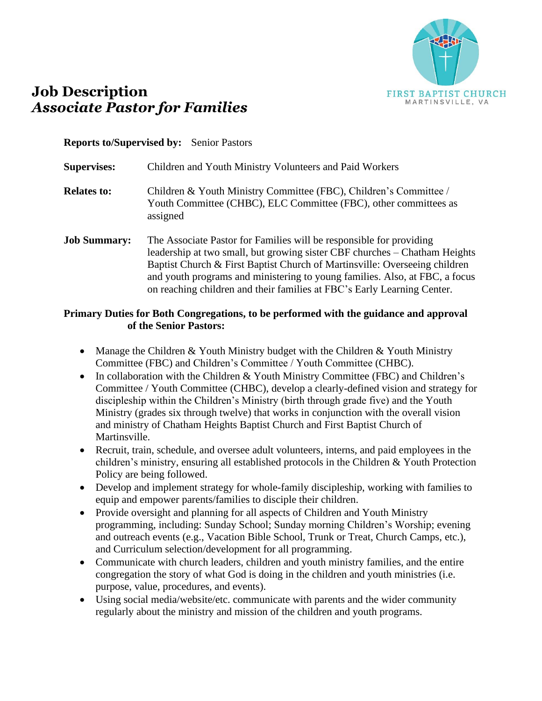

# **Job Description** *Associate Pastor for Families*

#### **Reports to/Supervised by:** Senior Pastors

| <b>Supervises:</b>  | Children and Youth Ministry Volunteers and Paid Workers                                                                                                                                                                                                                                                                                                                                   |
|---------------------|-------------------------------------------------------------------------------------------------------------------------------------------------------------------------------------------------------------------------------------------------------------------------------------------------------------------------------------------------------------------------------------------|
| <b>Relates to:</b>  | Children & Youth Ministry Committee (FBC), Children's Committee /<br>Youth Committee (CHBC), ELC Committee (FBC), other committees as<br>assigned                                                                                                                                                                                                                                         |
| <b>Job Summary:</b> | The Associate Pastor for Families will be responsible for providing<br>leadership at two small, but growing sister CBF churches – Chatham Heights<br>Baptist Church & First Baptist Church of Martinsville: Overseeing children<br>and youth programs and ministering to young families. Also, at FBC, a focus<br>on reaching children and their families at FBC's Early Learning Center. |

#### **Primary Duties for Both Congregations, to be performed with the guidance and approval of the Senior Pastors:**

- Manage the Children  $&$  Youth Ministry budget with the Children  $&$  Youth Ministry Committee (FBC) and Children's Committee / Youth Committee (CHBC).
- In collaboration with the Children & Youth Ministry Committee (FBC) and Children's Committee / Youth Committee (CHBC), develop a clearly-defined vision and strategy for discipleship within the Children's Ministry (birth through grade five) and the Youth Ministry (grades six through twelve) that works in conjunction with the overall vision and ministry of Chatham Heights Baptist Church and First Baptist Church of Martinsville.
- Recruit, train, schedule, and oversee adult volunteers, interns, and paid employees in the children's ministry, ensuring all established protocols in the Children & Youth Protection Policy are being followed.
- Develop and implement strategy for whole-family discipleship, working with families to equip and empower parents/families to disciple their children.
- Provide oversight and planning for all aspects of Children and Youth Ministry programming, including: Sunday School; Sunday morning Children's Worship; evening and outreach events (e.g., Vacation Bible School, Trunk or Treat, Church Camps, etc.), and Curriculum selection/development for all programming.
- Communicate with church leaders, children and youth ministry families, and the entire congregation the story of what God is doing in the children and youth ministries (i.e. purpose, value, procedures, and events).
- Using social media/website/etc. communicate with parents and the wider community regularly about the ministry and mission of the children and youth programs.